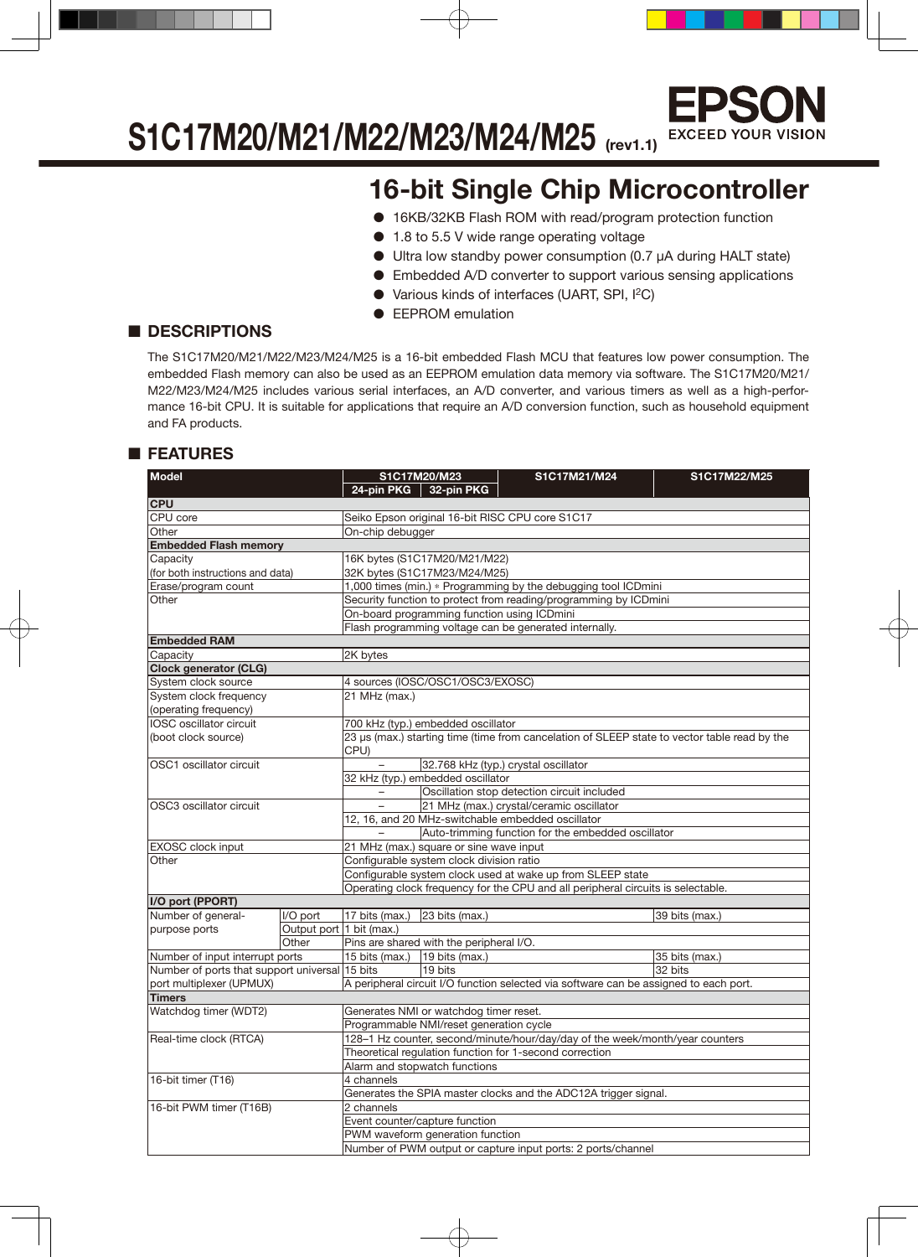

### **S1C17M20/M21/M22/M23/M24/M25 (rev1.1)**

### **16-bit Single Chip Microcontroller**

- 16KB/32KB Flash ROM with read/program protection function
- 1.8 to 5.5 V wide range operating voltage
- Ultra low standby power consumption (0.7 µA during HALT state)
- Embedded A/D converter to support various sensing applications
- Various kinds of interfaces (UART, SPI, I<sup>2</sup>C)
- EEPROM emulation

### ■ **DESCRIPTIONS**

The S1C17M20/M21/M22/M23/M24/M25 is a 16-bit embedded Flash MCU that features low power consumption. The embedded Flash memory can also be used as an EEPROM emulation data memory via software. The S1C17M20/M21/ M22/M23/M24/M25 includes various serial interfaces, an A/D converter, and various timers as well as a high-performance 16-bit CPU. It is suitable for applications that require an A/D conversion function, such as household equipment and FA products.

### ■ **FEATURES**

| <b>Model</b><br>S1C17M20/M23<br>S1C17M21/M24<br>S1C17M22/M25 |                                                                                                                                                               |                                                                                                                                                                          |                                                                                                                                                                                                                                                                                                                                                                                                                                                                                                                                                                                                                                                                                                                                                                                                                                                                                                                                                                                                                                                                                                                                                                                                                                                                                                                                          |  |  |  |  |
|--------------------------------------------------------------|---------------------------------------------------------------------------------------------------------------------------------------------------------------|--------------------------------------------------------------------------------------------------------------------------------------------------------------------------|------------------------------------------------------------------------------------------------------------------------------------------------------------------------------------------------------------------------------------------------------------------------------------------------------------------------------------------------------------------------------------------------------------------------------------------------------------------------------------------------------------------------------------------------------------------------------------------------------------------------------------------------------------------------------------------------------------------------------------------------------------------------------------------------------------------------------------------------------------------------------------------------------------------------------------------------------------------------------------------------------------------------------------------------------------------------------------------------------------------------------------------------------------------------------------------------------------------------------------------------------------------------------------------------------------------------------------------|--|--|--|--|
|                                                              |                                                                                                                                                               |                                                                                                                                                                          |                                                                                                                                                                                                                                                                                                                                                                                                                                                                                                                                                                                                                                                                                                                                                                                                                                                                                                                                                                                                                                                                                                                                                                                                                                                                                                                                          |  |  |  |  |
|                                                              |                                                                                                                                                               |                                                                                                                                                                          |                                                                                                                                                                                                                                                                                                                                                                                                                                                                                                                                                                                                                                                                                                                                                                                                                                                                                                                                                                                                                                                                                                                                                                                                                                                                                                                                          |  |  |  |  |
|                                                              |                                                                                                                                                               |                                                                                                                                                                          |                                                                                                                                                                                                                                                                                                                                                                                                                                                                                                                                                                                                                                                                                                                                                                                                                                                                                                                                                                                                                                                                                                                                                                                                                                                                                                                                          |  |  |  |  |
|                                                              |                                                                                                                                                               |                                                                                                                                                                          |                                                                                                                                                                                                                                                                                                                                                                                                                                                                                                                                                                                                                                                                                                                                                                                                                                                                                                                                                                                                                                                                                                                                                                                                                                                                                                                                          |  |  |  |  |
|                                                              |                                                                                                                                                               |                                                                                                                                                                          |                                                                                                                                                                                                                                                                                                                                                                                                                                                                                                                                                                                                                                                                                                                                                                                                                                                                                                                                                                                                                                                                                                                                                                                                                                                                                                                                          |  |  |  |  |
|                                                              |                                                                                                                                                               |                                                                                                                                                                          |                                                                                                                                                                                                                                                                                                                                                                                                                                                                                                                                                                                                                                                                                                                                                                                                                                                                                                                                                                                                                                                                                                                                                                                                                                                                                                                                          |  |  |  |  |
|                                                              |                                                                                                                                                               |                                                                                                                                                                          |                                                                                                                                                                                                                                                                                                                                                                                                                                                                                                                                                                                                                                                                                                                                                                                                                                                                                                                                                                                                                                                                                                                                                                                                                                                                                                                                          |  |  |  |  |
|                                                              |                                                                                                                                                               |                                                                                                                                                                          |                                                                                                                                                                                                                                                                                                                                                                                                                                                                                                                                                                                                                                                                                                                                                                                                                                                                                                                                                                                                                                                                                                                                                                                                                                                                                                                                          |  |  |  |  |
|                                                              |                                                                                                                                                               |                                                                                                                                                                          |                                                                                                                                                                                                                                                                                                                                                                                                                                                                                                                                                                                                                                                                                                                                                                                                                                                                                                                                                                                                                                                                                                                                                                                                                                                                                                                                          |  |  |  |  |
|                                                              |                                                                                                                                                               |                                                                                                                                                                          |                                                                                                                                                                                                                                                                                                                                                                                                                                                                                                                                                                                                                                                                                                                                                                                                                                                                                                                                                                                                                                                                                                                                                                                                                                                                                                                                          |  |  |  |  |
|                                                              |                                                                                                                                                               |                                                                                                                                                                          |                                                                                                                                                                                                                                                                                                                                                                                                                                                                                                                                                                                                                                                                                                                                                                                                                                                                                                                                                                                                                                                                                                                                                                                                                                                                                                                                          |  |  |  |  |
| 2K bytes                                                     |                                                                                                                                                               |                                                                                                                                                                          |                                                                                                                                                                                                                                                                                                                                                                                                                                                                                                                                                                                                                                                                                                                                                                                                                                                                                                                                                                                                                                                                                                                                                                                                                                                                                                                                          |  |  |  |  |
|                                                              |                                                                                                                                                               |                                                                                                                                                                          |                                                                                                                                                                                                                                                                                                                                                                                                                                                                                                                                                                                                                                                                                                                                                                                                                                                                                                                                                                                                                                                                                                                                                                                                                                                                                                                                          |  |  |  |  |
|                                                              |                                                                                                                                                               |                                                                                                                                                                          |                                                                                                                                                                                                                                                                                                                                                                                                                                                                                                                                                                                                                                                                                                                                                                                                                                                                                                                                                                                                                                                                                                                                                                                                                                                                                                                                          |  |  |  |  |
|                                                              |                                                                                                                                                               |                                                                                                                                                                          |                                                                                                                                                                                                                                                                                                                                                                                                                                                                                                                                                                                                                                                                                                                                                                                                                                                                                                                                                                                                                                                                                                                                                                                                                                                                                                                                          |  |  |  |  |
|                                                              |                                                                                                                                                               |                                                                                                                                                                          |                                                                                                                                                                                                                                                                                                                                                                                                                                                                                                                                                                                                                                                                                                                                                                                                                                                                                                                                                                                                                                                                                                                                                                                                                                                                                                                                          |  |  |  |  |
|                                                              |                                                                                                                                                               |                                                                                                                                                                          |                                                                                                                                                                                                                                                                                                                                                                                                                                                                                                                                                                                                                                                                                                                                                                                                                                                                                                                                                                                                                                                                                                                                                                                                                                                                                                                                          |  |  |  |  |
|                                                              |                                                                                                                                                               |                                                                                                                                                                          |                                                                                                                                                                                                                                                                                                                                                                                                                                                                                                                                                                                                                                                                                                                                                                                                                                                                                                                                                                                                                                                                                                                                                                                                                                                                                                                                          |  |  |  |  |
| CPU)                                                         |                                                                                                                                                               |                                                                                                                                                                          |                                                                                                                                                                                                                                                                                                                                                                                                                                                                                                                                                                                                                                                                                                                                                                                                                                                                                                                                                                                                                                                                                                                                                                                                                                                                                                                                          |  |  |  |  |
|                                                              |                                                                                                                                                               |                                                                                                                                                                          |                                                                                                                                                                                                                                                                                                                                                                                                                                                                                                                                                                                                                                                                                                                                                                                                                                                                                                                                                                                                                                                                                                                                                                                                                                                                                                                                          |  |  |  |  |
| 32 kHz (typ.) embedded oscillator                            |                                                                                                                                                               |                                                                                                                                                                          |                                                                                                                                                                                                                                                                                                                                                                                                                                                                                                                                                                                                                                                                                                                                                                                                                                                                                                                                                                                                                                                                                                                                                                                                                                                                                                                                          |  |  |  |  |
|                                                              |                                                                                                                                                               |                                                                                                                                                                          |                                                                                                                                                                                                                                                                                                                                                                                                                                                                                                                                                                                                                                                                                                                                                                                                                                                                                                                                                                                                                                                                                                                                                                                                                                                                                                                                          |  |  |  |  |
|                                                              |                                                                                                                                                               |                                                                                                                                                                          |                                                                                                                                                                                                                                                                                                                                                                                                                                                                                                                                                                                                                                                                                                                                                                                                                                                                                                                                                                                                                                                                                                                                                                                                                                                                                                                                          |  |  |  |  |
|                                                              |                                                                                                                                                               |                                                                                                                                                                          |                                                                                                                                                                                                                                                                                                                                                                                                                                                                                                                                                                                                                                                                                                                                                                                                                                                                                                                                                                                                                                                                                                                                                                                                                                                                                                                                          |  |  |  |  |
| Auto-trimming function for the embedded oscillator           |                                                                                                                                                               |                                                                                                                                                                          |                                                                                                                                                                                                                                                                                                                                                                                                                                                                                                                                                                                                                                                                                                                                                                                                                                                                                                                                                                                                                                                                                                                                                                                                                                                                                                                                          |  |  |  |  |
|                                                              |                                                                                                                                                               |                                                                                                                                                                          |                                                                                                                                                                                                                                                                                                                                                                                                                                                                                                                                                                                                                                                                                                                                                                                                                                                                                                                                                                                                                                                                                                                                                                                                                                                                                                                                          |  |  |  |  |
|                                                              |                                                                                                                                                               |                                                                                                                                                                          |                                                                                                                                                                                                                                                                                                                                                                                                                                                                                                                                                                                                                                                                                                                                                                                                                                                                                                                                                                                                                                                                                                                                                                                                                                                                                                                                          |  |  |  |  |
|                                                              |                                                                                                                                                               |                                                                                                                                                                          |                                                                                                                                                                                                                                                                                                                                                                                                                                                                                                                                                                                                                                                                                                                                                                                                                                                                                                                                                                                                                                                                                                                                                                                                                                                                                                                                          |  |  |  |  |
|                                                              | Operating clock frequency for the CPU and all peripheral circuits is selectable.                                                                              |                                                                                                                                                                          |                                                                                                                                                                                                                                                                                                                                                                                                                                                                                                                                                                                                                                                                                                                                                                                                                                                                                                                                                                                                                                                                                                                                                                                                                                                                                                                                          |  |  |  |  |
|                                                              |                                                                                                                                                               |                                                                                                                                                                          |                                                                                                                                                                                                                                                                                                                                                                                                                                                                                                                                                                                                                                                                                                                                                                                                                                                                                                                                                                                                                                                                                                                                                                                                                                                                                                                                          |  |  |  |  |
|                                                              |                                                                                                                                                               |                                                                                                                                                                          | 39 bits (max.)                                                                                                                                                                                                                                                                                                                                                                                                                                                                                                                                                                                                                                                                                                                                                                                                                                                                                                                                                                                                                                                                                                                                                                                                                                                                                                                           |  |  |  |  |
|                                                              |                                                                                                                                                               |                                                                                                                                                                          |                                                                                                                                                                                                                                                                                                                                                                                                                                                                                                                                                                                                                                                                                                                                                                                                                                                                                                                                                                                                                                                                                                                                                                                                                                                                                                                                          |  |  |  |  |
|                                                              |                                                                                                                                                               |                                                                                                                                                                          |                                                                                                                                                                                                                                                                                                                                                                                                                                                                                                                                                                                                                                                                                                                                                                                                                                                                                                                                                                                                                                                                                                                                                                                                                                                                                                                                          |  |  |  |  |
|                                                              |                                                                                                                                                               |                                                                                                                                                                          | 35 bits (max.)                                                                                                                                                                                                                                                                                                                                                                                                                                                                                                                                                                                                                                                                                                                                                                                                                                                                                                                                                                                                                                                                                                                                                                                                                                                                                                                           |  |  |  |  |
|                                                              |                                                                                                                                                               |                                                                                                                                                                          | 32 bits                                                                                                                                                                                                                                                                                                                                                                                                                                                                                                                                                                                                                                                                                                                                                                                                                                                                                                                                                                                                                                                                                                                                                                                                                                                                                                                                  |  |  |  |  |
|                                                              | A peripheral circuit I/O function selected via software can be assigned to each port.                                                                         |                                                                                                                                                                          |                                                                                                                                                                                                                                                                                                                                                                                                                                                                                                                                                                                                                                                                                                                                                                                                                                                                                                                                                                                                                                                                                                                                                                                                                                                                                                                                          |  |  |  |  |
|                                                              |                                                                                                                                                               |                                                                                                                                                                          |                                                                                                                                                                                                                                                                                                                                                                                                                                                                                                                                                                                                                                                                                                                                                                                                                                                                                                                                                                                                                                                                                                                                                                                                                                                                                                                                          |  |  |  |  |
|                                                              |                                                                                                                                                               |                                                                                                                                                                          |                                                                                                                                                                                                                                                                                                                                                                                                                                                                                                                                                                                                                                                                                                                                                                                                                                                                                                                                                                                                                                                                                                                                                                                                                                                                                                                                          |  |  |  |  |
|                                                              |                                                                                                                                                               |                                                                                                                                                                          |                                                                                                                                                                                                                                                                                                                                                                                                                                                                                                                                                                                                                                                                                                                                                                                                                                                                                                                                                                                                                                                                                                                                                                                                                                                                                                                                          |  |  |  |  |
|                                                              |                                                                                                                                                               |                                                                                                                                                                          |                                                                                                                                                                                                                                                                                                                                                                                                                                                                                                                                                                                                                                                                                                                                                                                                                                                                                                                                                                                                                                                                                                                                                                                                                                                                                                                                          |  |  |  |  |
|                                                              |                                                                                                                                                               |                                                                                                                                                                          |                                                                                                                                                                                                                                                                                                                                                                                                                                                                                                                                                                                                                                                                                                                                                                                                                                                                                                                                                                                                                                                                                                                                                                                                                                                                                                                                          |  |  |  |  |
|                                                              |                                                                                                                                                               |                                                                                                                                                                          |                                                                                                                                                                                                                                                                                                                                                                                                                                                                                                                                                                                                                                                                                                                                                                                                                                                                                                                                                                                                                                                                                                                                                                                                                                                                                                                                          |  |  |  |  |
|                                                              |                                                                                                                                                               |                                                                                                                                                                          |                                                                                                                                                                                                                                                                                                                                                                                                                                                                                                                                                                                                                                                                                                                                                                                                                                                                                                                                                                                                                                                                                                                                                                                                                                                                                                                                          |  |  |  |  |
|                                                              |                                                                                                                                                               |                                                                                                                                                                          |                                                                                                                                                                                                                                                                                                                                                                                                                                                                                                                                                                                                                                                                                                                                                                                                                                                                                                                                                                                                                                                                                                                                                                                                                                                                                                                                          |  |  |  |  |
|                                                              |                                                                                                                                                               |                                                                                                                                                                          |                                                                                                                                                                                                                                                                                                                                                                                                                                                                                                                                                                                                                                                                                                                                                                                                                                                                                                                                                                                                                                                                                                                                                                                                                                                                                                                                          |  |  |  |  |
|                                                              |                                                                                                                                                               |                                                                                                                                                                          |                                                                                                                                                                                                                                                                                                                                                                                                                                                                                                                                                                                                                                                                                                                                                                                                                                                                                                                                                                                                                                                                                                                                                                                                                                                                                                                                          |  |  |  |  |
|                                                              |                                                                                                                                                               |                                                                                                                                                                          |                                                                                                                                                                                                                                                                                                                                                                                                                                                                                                                                                                                                                                                                                                                                                                                                                                                                                                                                                                                                                                                                                                                                                                                                                                                                                                                                          |  |  |  |  |
|                                                              | $21$ MHz (max.)<br>17 bits (max.)<br>Output port 1 bit (max.)<br>15 bits (max.)<br>Number of ports that support universal 15 bits<br>4 channels<br>2 channels | 24-pin PKG   32-pin PKG<br>On-chip debugger<br>$ 23 \text{ bits (max.)}$<br>19 bits (max.)<br>19 bits<br>Alarm and stopwatch functions<br>Event counter/capture function | Seiko Epson original 16-bit RISC CPU core S1C17<br>16K bytes (S1C17M20/M21/M22)<br>32K bytes (S1C17M23/M24/M25)<br>1,000 times (min.) * Programming by the debugging tool ICDmini<br>Security function to protect from reading/programming by ICDmini<br>On-board programming function using ICDmini<br>Flash programming voltage can be generated internally.<br>4 sources (IOSC/OSC1/OSC3/EXOSC)<br>700 kHz (typ.) embedded oscillator<br>23 µs (max.) starting time (time from cancelation of SLEEP state to vector table read by the<br>32.768 kHz (typ.) crystal oscillator<br>Oscillation stop detection circuit included<br>21 MHz (max.) crystal/ceramic oscillator<br>12, 16, and 20 MHz-switchable embedded oscillator<br>21 MHz (max.) square or sine wave input<br>Configurable system clock division ratio<br>Configurable system clock used at wake up from SLEEP state<br>Pins are shared with the peripheral I/O.<br>Generates NMI or watchdog timer reset.<br>Programmable NMI/reset generation cycle<br>128-1 Hz counter, second/minute/hour/day/day of the week/month/year counters<br>Theoretical regulation function for 1-second correction<br>Generates the SPIA master clocks and the ADC12A trigger signal.<br>PWM waveform generation function<br>Number of PWM output or capture input ports: 2 ports/channel |  |  |  |  |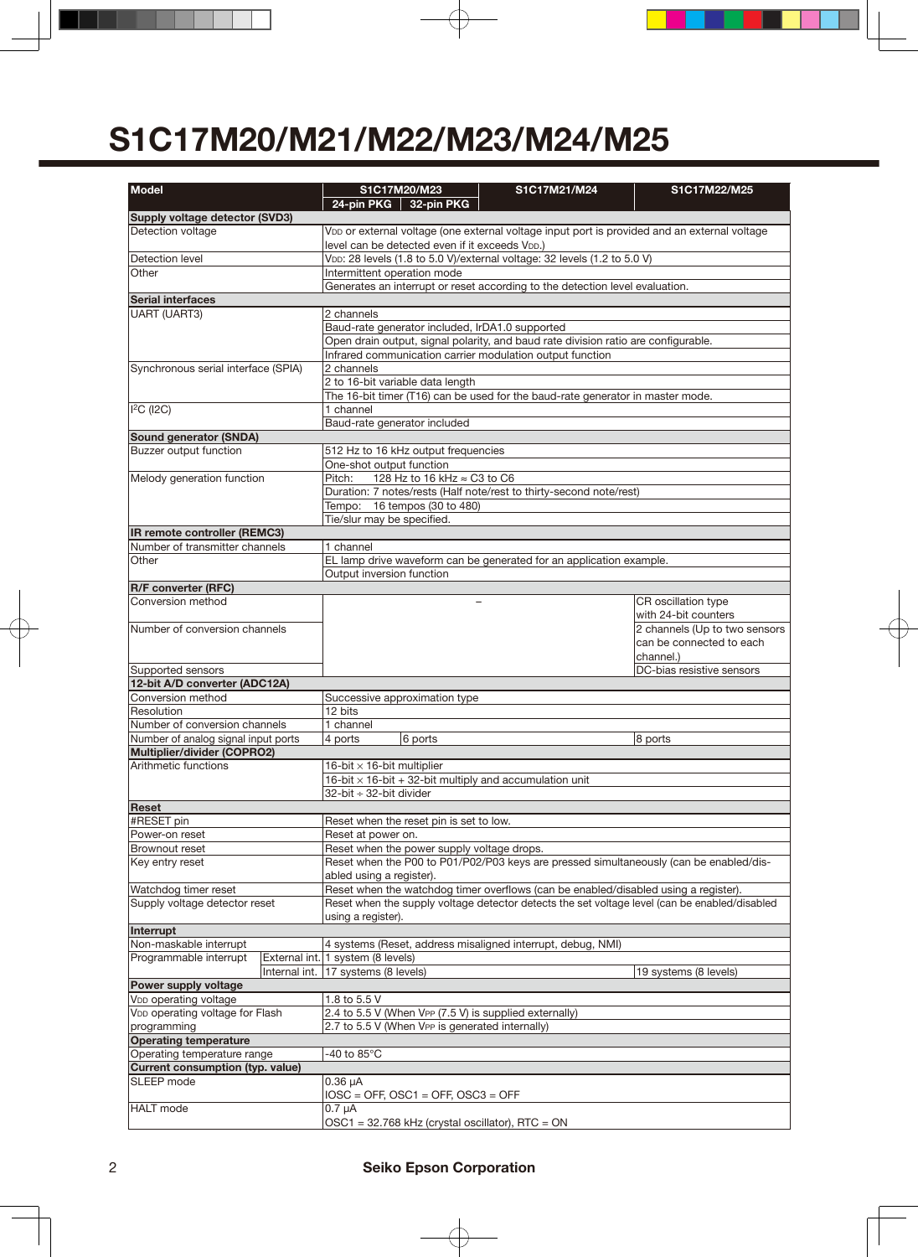| <b>Model</b>                                                         |               |                                                                                                                                       | S1C17M20/M23                               | S1C17M21/M24                                                                                 | S1C17M22/M25                  |  |  |  |  |
|----------------------------------------------------------------------|---------------|---------------------------------------------------------------------------------------------------------------------------------------|--------------------------------------------|----------------------------------------------------------------------------------------------|-------------------------------|--|--|--|--|
|                                                                      |               |                                                                                                                                       | 24-pin PKG 32-pin PKG                      |                                                                                              |                               |  |  |  |  |
| Supply voltage detector (SVD3)                                       |               |                                                                                                                                       |                                            |                                                                                              |                               |  |  |  |  |
| Detection voltage                                                    |               |                                                                                                                                       |                                            | VDD or external voltage (one external voltage input port is provided and an external voltage |                               |  |  |  |  |
|                                                                      |               | level can be detected even if it exceeds VDD.)                                                                                        |                                            |                                                                                              |                               |  |  |  |  |
| Detection level                                                      |               | VDD: 28 levels (1.8 to 5.0 V)/external voltage: 32 levels (1.2 to 5.0 V)                                                              |                                            |                                                                                              |                               |  |  |  |  |
| Other                                                                |               | Intermittent operation mode                                                                                                           |                                            |                                                                                              |                               |  |  |  |  |
| <b>Serial interfaces</b>                                             |               | Generates an interrupt or reset according to the detection level evaluation.                                                          |                                            |                                                                                              |                               |  |  |  |  |
| <b>UART (UART3)</b>                                                  |               | 2 channels                                                                                                                            |                                            |                                                                                              |                               |  |  |  |  |
|                                                                      |               |                                                                                                                                       |                                            |                                                                                              |                               |  |  |  |  |
|                                                                      |               | Baud-rate generator included, IrDA1.0 supported<br>Open drain output, signal polarity, and baud rate division ratio are configurable. |                                            |                                                                                              |                               |  |  |  |  |
|                                                                      |               | Infrared communication carrier modulation output function                                                                             |                                            |                                                                                              |                               |  |  |  |  |
| Synchronous serial interface (SPIA)                                  |               | 2 channels                                                                                                                            |                                            |                                                                                              |                               |  |  |  |  |
|                                                                      |               | 2 to 16-bit variable data length                                                                                                      |                                            |                                                                                              |                               |  |  |  |  |
|                                                                      |               |                                                                                                                                       |                                            | The 16-bit timer (T16) can be used for the baud-rate generator in master mode.               |                               |  |  |  |  |
| $I2C$ (I2C)                                                          |               | 1 channel                                                                                                                             |                                            |                                                                                              |                               |  |  |  |  |
|                                                                      |               |                                                                                                                                       | Baud-rate generator included               |                                                                                              |                               |  |  |  |  |
| <b>Sound generator (SNDA)</b><br><b>Buzzer output function</b>       |               |                                                                                                                                       | 512 Hz to 16 kHz output frequencies        |                                                                                              |                               |  |  |  |  |
|                                                                      |               | One-shot output function                                                                                                              |                                            |                                                                                              |                               |  |  |  |  |
| Melody generation function                                           |               | Pitch:                                                                                                                                | 128 Hz to 16 kHz ≈ C3 to C6                |                                                                                              |                               |  |  |  |  |
|                                                                      |               |                                                                                                                                       |                                            | Duration: 7 notes/rests (Half note/rest to thirty-second note/rest)                          |                               |  |  |  |  |
|                                                                      |               |                                                                                                                                       | Tempo: 16 tempos (30 to 480)               |                                                                                              |                               |  |  |  |  |
|                                                                      |               | Tie/slur may be specified.                                                                                                            |                                            |                                                                                              |                               |  |  |  |  |
| IR remote controller (REMC3)                                         |               |                                                                                                                                       |                                            |                                                                                              |                               |  |  |  |  |
| Number of transmitter channels                                       |               | 1 channel                                                                                                                             |                                            |                                                                                              |                               |  |  |  |  |
| Other                                                                |               |                                                                                                                                       |                                            | EL lamp drive waveform can be generated for an application example.                          |                               |  |  |  |  |
|                                                                      |               | Output inversion function                                                                                                             |                                            |                                                                                              |                               |  |  |  |  |
| <b>R/F converter (RFC)</b><br>Conversion method                      |               |                                                                                                                                       |                                            | $\overline{\phantom{a}}$                                                                     | CR oscillation type           |  |  |  |  |
|                                                                      |               |                                                                                                                                       |                                            |                                                                                              | with 24-bit counters          |  |  |  |  |
| Number of conversion channels                                        |               |                                                                                                                                       |                                            |                                                                                              | 2 channels (Up to two sensors |  |  |  |  |
|                                                                      |               |                                                                                                                                       |                                            |                                                                                              | can be connected to each      |  |  |  |  |
|                                                                      |               |                                                                                                                                       |                                            |                                                                                              | channel.)                     |  |  |  |  |
| Supported sensors                                                    |               |                                                                                                                                       |                                            |                                                                                              | DC-bias resistive sensors     |  |  |  |  |
| 12-bit A/D converter (ADC12A)                                        |               |                                                                                                                                       |                                            |                                                                                              |                               |  |  |  |  |
| Conversion method                                                    |               |                                                                                                                                       | Successive approximation type              |                                                                                              |                               |  |  |  |  |
| Resolution                                                           |               | 12 bits                                                                                                                               |                                            |                                                                                              |                               |  |  |  |  |
| Number of conversion channels<br>Number of analog signal input ports |               | 1 channel<br>4 ports                                                                                                                  |                                            |                                                                                              | 8 ports                       |  |  |  |  |
| Multiplier/divider (COPRO2)                                          |               |                                                                                                                                       | 6 ports                                    |                                                                                              |                               |  |  |  |  |
| Arithmetic functions                                                 |               | 16-bit $\times$ 16-bit multiplier                                                                                                     |                                            |                                                                                              |                               |  |  |  |  |
|                                                                      |               | 16-bit $\times$ 16-bit + 32-bit multiply and accumulation unit                                                                        |                                            |                                                                                              |                               |  |  |  |  |
|                                                                      |               | 32-bit ÷ 32-bit divider                                                                                                               |                                            |                                                                                              |                               |  |  |  |  |
| Reset                                                                |               |                                                                                                                                       |                                            |                                                                                              |                               |  |  |  |  |
| #RESET pin                                                           |               |                                                                                                                                       | Reset when the reset pin is set to low.    |                                                                                              |                               |  |  |  |  |
| Power-on reset                                                       |               | Reset at power on.                                                                                                                    |                                            |                                                                                              |                               |  |  |  |  |
| Brownout reset                                                       |               |                                                                                                                                       | Reset when the power supply voltage drops. |                                                                                              |                               |  |  |  |  |
| Key entry reset                                                      |               | Reset when the P00 to P01/P02/P03 keys are pressed simultaneously (can be enabled/dis-                                                |                                            |                                                                                              |                               |  |  |  |  |
| Watchdog timer reset                                                 |               | abled using a register).                                                                                                              |                                            |                                                                                              |                               |  |  |  |  |
| Supply voltage detector reset                                        |               | Reset when the watchdog timer overflows (can be enabled/disabled using a register).                                                   |                                            |                                                                                              |                               |  |  |  |  |
|                                                                      |               | Reset when the supply voltage detector detects the set voltage level (can be enabled/disabled<br>using a register).                   |                                            |                                                                                              |                               |  |  |  |  |
| Interrupt                                                            |               |                                                                                                                                       |                                            |                                                                                              |                               |  |  |  |  |
| Non-maskable interrupt                                               |               |                                                                                                                                       |                                            | 4 systems (Reset, address misaligned interrupt, debug, NMI)                                  |                               |  |  |  |  |
| Programmable interrupt                                               |               | External int. 1 system (8 levels)                                                                                                     |                                            |                                                                                              |                               |  |  |  |  |
|                                                                      | Internal int. | 17 systems (8 levels)                                                                                                                 |                                            |                                                                                              | 19 systems (8 levels)         |  |  |  |  |
| Power supply voltage                                                 |               |                                                                                                                                       |                                            |                                                                                              |                               |  |  |  |  |
| V <sub>DD</sub> operating voltage                                    |               | 1.8 to 5.5 V                                                                                                                          |                                            |                                                                                              |                               |  |  |  |  |
| V <sub>DD</sub> operating voltage for Flash                          |               | 2.4 to 5.5 V (When VPP (7.5 V) is supplied externally)<br>2.7 to 5.5 V (When VPP is generated internally)                             |                                            |                                                                                              |                               |  |  |  |  |
| programming<br><b>Operating temperature</b>                          |               |                                                                                                                                       |                                            |                                                                                              |                               |  |  |  |  |
| Operating temperature range                                          |               | -40 to 85 $^{\circ}$ C                                                                                                                |                                            |                                                                                              |                               |  |  |  |  |
| Current consumption (typ. value)                                     |               |                                                                                                                                       |                                            |                                                                                              |                               |  |  |  |  |
| SLEEP mode                                                           |               | $0.36 \mu A$                                                                                                                          |                                            |                                                                                              |                               |  |  |  |  |
|                                                                      |               |                                                                                                                                       | $IOSC = OFF$ , $OSC1 = OFF$ , $OSC3 = OFF$ |                                                                                              |                               |  |  |  |  |
| <b>HALT</b> mode                                                     |               | $0.7 \mu A$                                                                                                                           |                                            |                                                                                              |                               |  |  |  |  |
|                                                                      |               |                                                                                                                                       |                                            | $OSC1 = 32.768$ kHz (crystal oscillator), RTC = ON                                           |                               |  |  |  |  |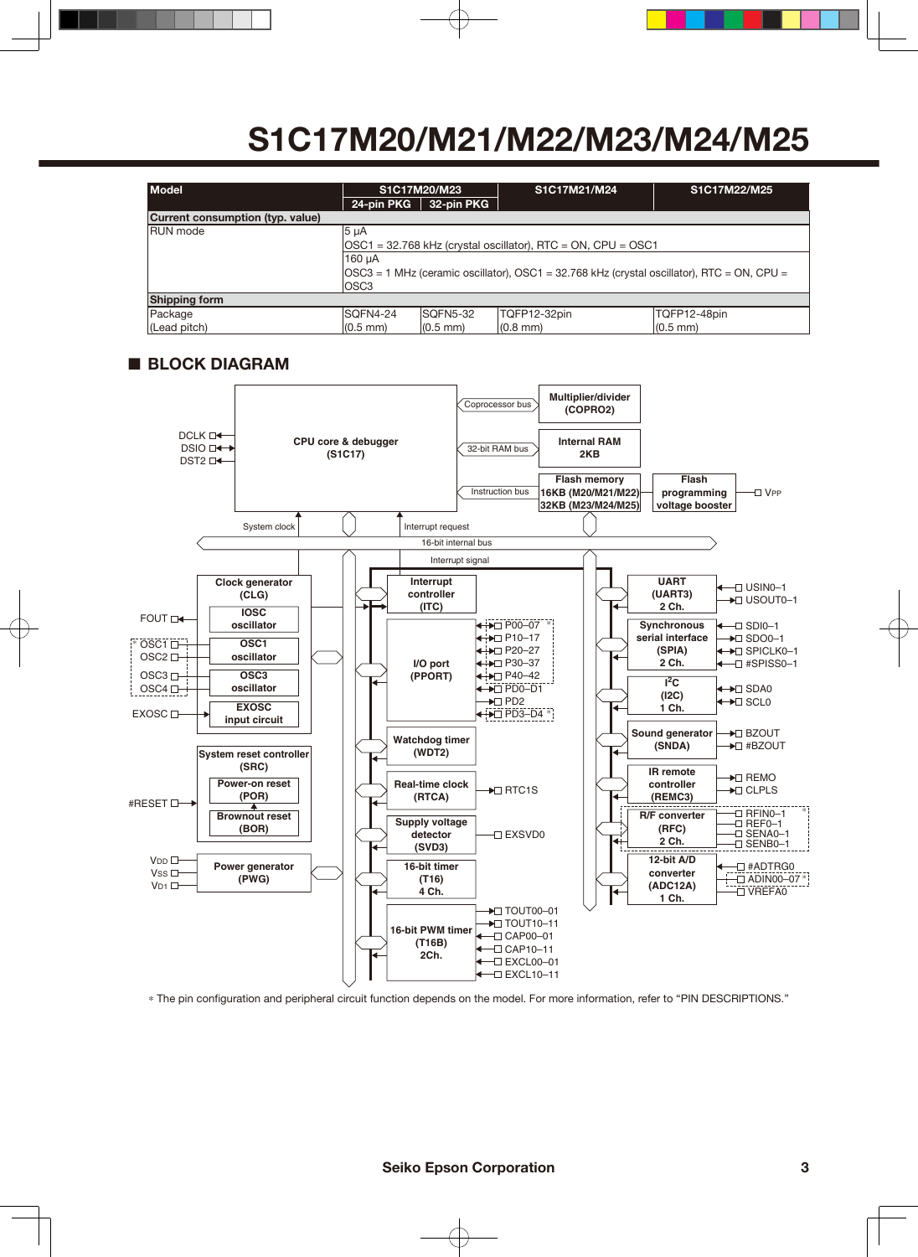| <b>Model</b>                     | S1C17M20/M23<br>24-pin PKG<br>32-pin PKG                                                                                      |                    | S1C17M21/M24  | S1C17M22/M25  |  |  |  |
|----------------------------------|-------------------------------------------------------------------------------------------------------------------------------|--------------------|---------------|---------------|--|--|--|
| Current consumption (typ. value) |                                                                                                                               |                    |               |               |  |  |  |
| <b>RUN</b> mode                  | 5 <sub>µA</sub><br>OSC1 = 32.768 kHz (crystal oscillator), RTC = ON, CPU = OSC1                                               |                    |               |               |  |  |  |
|                                  | 160 µA<br>$\text{OSC3} = 1 \text{ MHz}$ (ceramic oscillator), OSC1 = 32.768 kHz (crystal oscillator), RTC = ON, CPU =<br>OSC3 |                    |               |               |  |  |  |
| <b>Shipping form</b>             |                                                                                                                               |                    |               |               |  |  |  |
| Package                          | ISQFN4-24                                                                                                                     | ISQFN5-32          | TQFP12-32pin  | TQFP12-48pin  |  |  |  |
| (Lead pitch)                     | $(0.5 \text{ mm})$                                                                                                            | $(0.5 \text{ mm})$ | $(0.8$ mm $)$ | $(0.5$ mm $)$ |  |  |  |

### ■ **BLOCK DIAGRAM**



\* The pin configuration and peripheral circuit function depends on the model. For more information, refer to "PIN DESCRIPTIONS."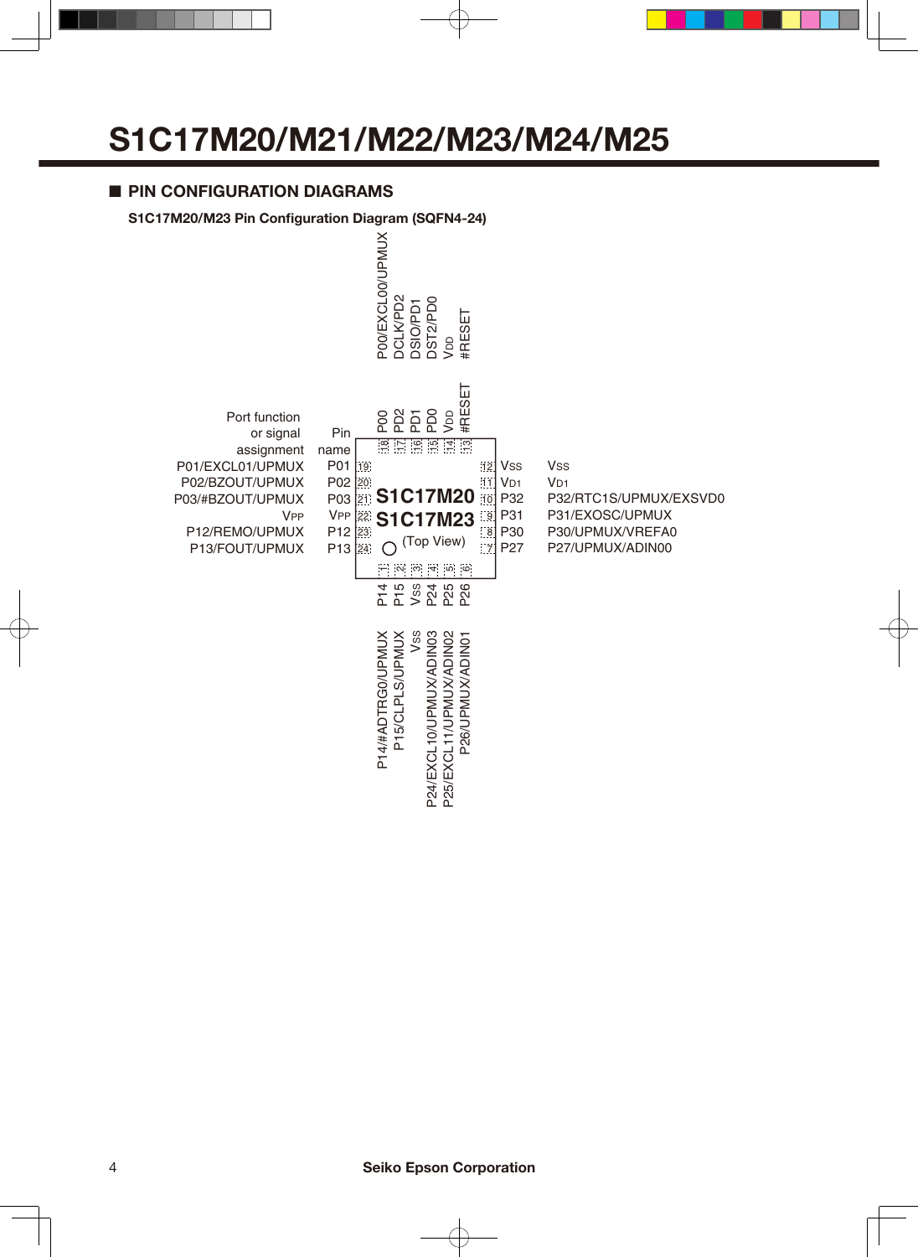### ■ **PIN CONFIGURATION DIAGRAMS**

#### **S1C17M20/M23 Pin Configuration Diagram (SQFN4-24)**

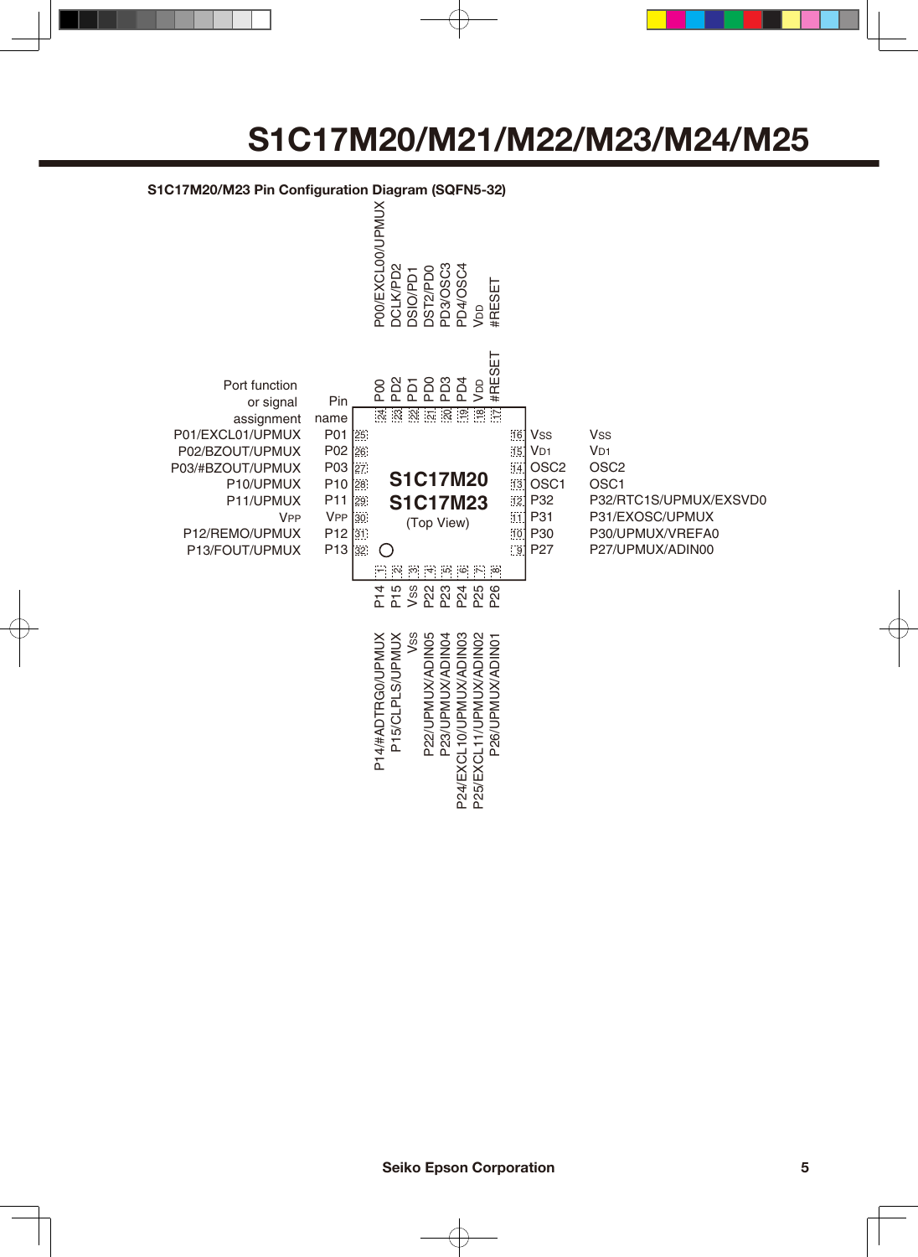#### **S1C17M20/M23 Pin Configuration Diagram (SQFN5-32)**

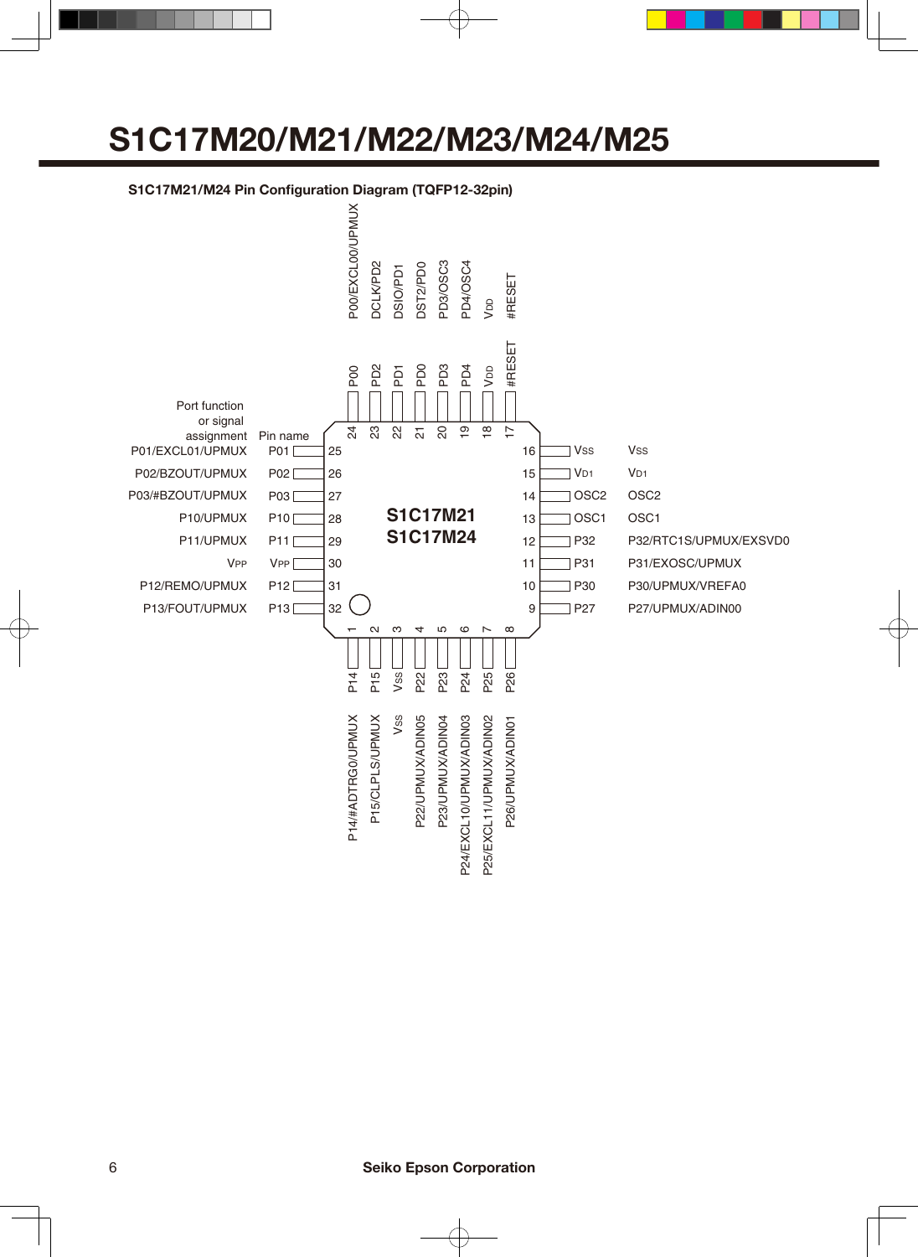### **S1C17M21/M24 Pin Configuration Diagram (TQFP12-32pin)**

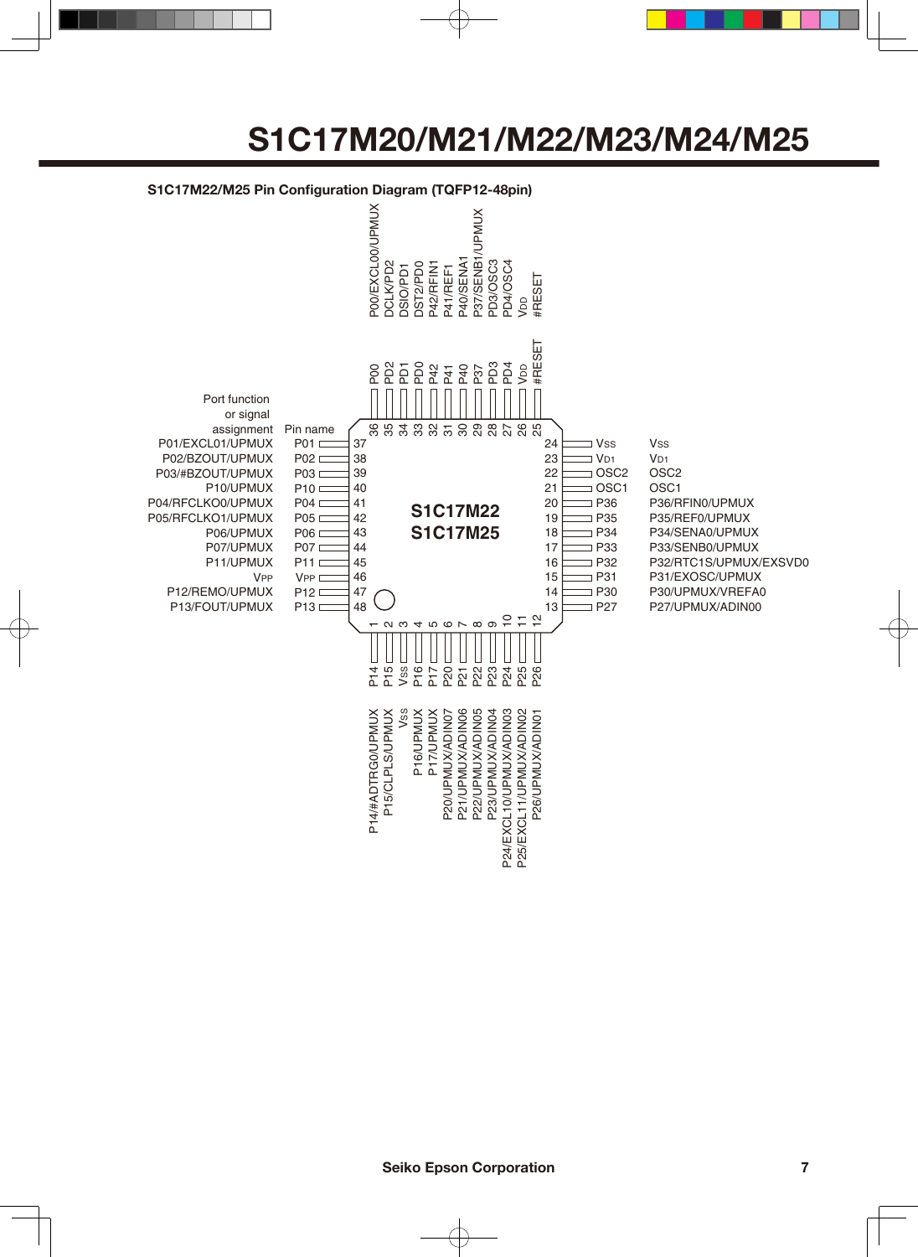### **S1C17M22/M25 Pin Configuration Diagram (TQFP12-48pin)**

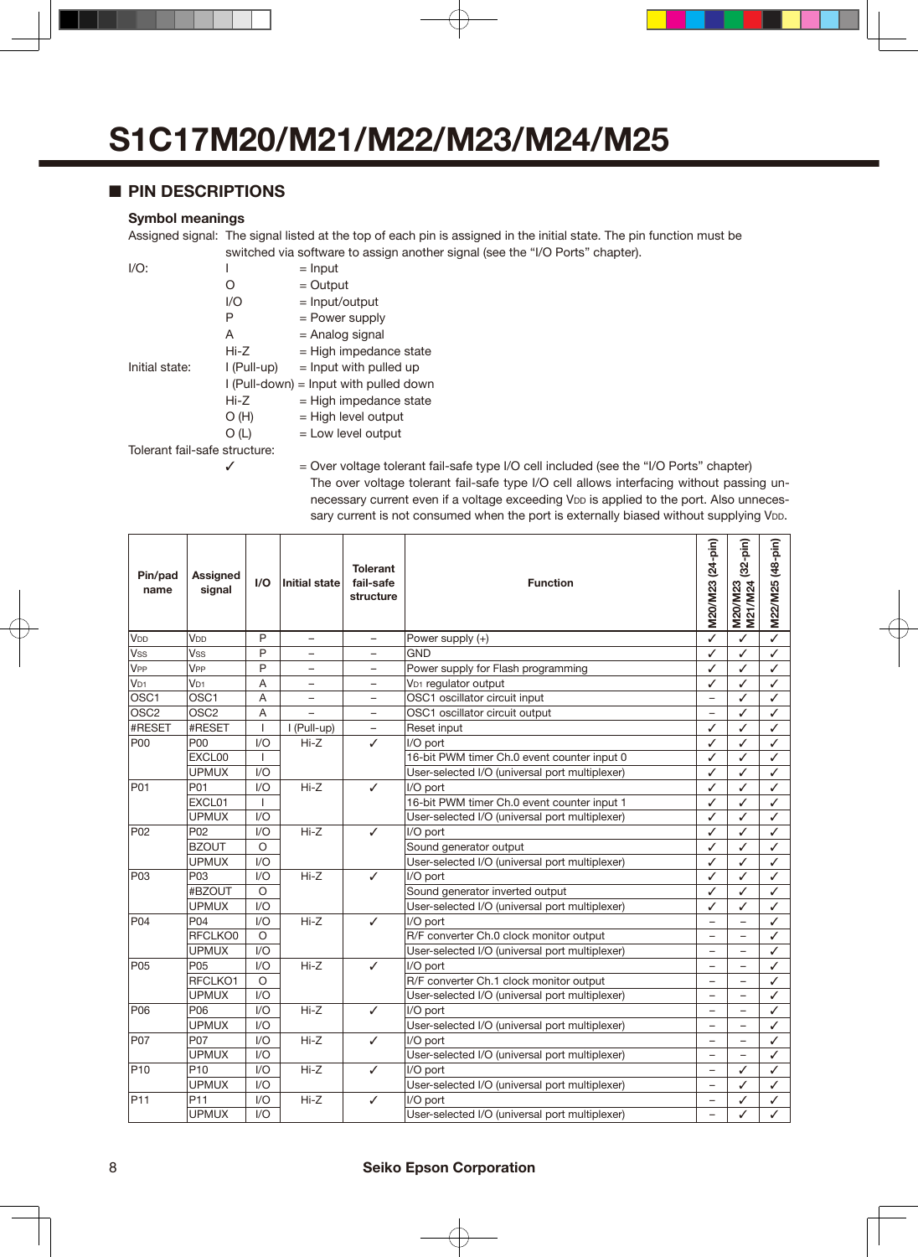### ■ **PIN DESCRIPTIONS**

#### **Symbol meanings**

Assigned signal: The signal listed at the top of each pin is assigned in the initial state. The pin function must be switched via software to assign another signal (see the "I/O Ports" chapter).

| $I/O$ :                       | ı           | $=$ Input                              |  |  |  |  |  |
|-------------------------------|-------------|----------------------------------------|--|--|--|--|--|
|                               | O           | $=$ Output                             |  |  |  |  |  |
|                               | 1/O         | $=$ Input/output                       |  |  |  |  |  |
|                               | Р           | = Power supply                         |  |  |  |  |  |
|                               | A           | = Analog signal                        |  |  |  |  |  |
|                               | Hi-Z        | $=$ High impedance state               |  |  |  |  |  |
| Initial state:                | l (Pull-up) | $=$ Input with pulled up               |  |  |  |  |  |
|                               |             | I (Pull-down) = Input with pulled down |  |  |  |  |  |
|                               | Hi-Z        | $=$ High impedance state               |  |  |  |  |  |
|                               | O(H)        | $=$ High level output                  |  |  |  |  |  |
|                               | O(L)        | $=$ Low level output                   |  |  |  |  |  |
| Tolerant fail-safe structure: |             |                                        |  |  |  |  |  |
|                               |             |                                        |  |  |  |  |  |

 $\checkmark$  = Over voltage tolerant fail-safe type I/O cell included (see the "I/O Ports" chapter) The over voltage tolerant fail-safe type I/O cell allows interfacing without passing unnecessary current even if a voltage exceeding VDD is applied to the port. Also unnecessary current is not consumed when the port is externally biased without supplying V<sub>DD</sub>.

| Pin/pad<br>name  | Assigned<br>signal | 1/O                    | <b>Initial state</b>     | <b>Tolerant</b><br>fail-safe<br>structure | <b>Function</b>                                |                          | $(32-pin)$<br>M20/M23    | M22/M25 (48-pin) |
|------------------|--------------------|------------------------|--------------------------|-------------------------------------------|------------------------------------------------|--------------------------|--------------------------|------------------|
| V <sub>DD</sub>  | V <sub>DD</sub>    | P                      | $\equiv$                 | $\equiv$                                  | Power supply $(+)$                             | ✓                        | ✓                        | ✓                |
| Vss              | Vss                | P                      |                          | -                                         | <b>GND</b>                                     | ✓                        | ✓                        | ✓                |
| VPP              | V <sub>PP</sub>    | P                      | $\overline{\phantom{0}}$ |                                           | Power supply for Flash programming             | ✓                        | ✓                        | ✓                |
| V <sub>D1</sub>  | V <sub>D1</sub>    | A                      | -                        | $\overline{\phantom{0}}$                  | VD1 regulator output                           | ✓                        | ✓                        | ✓                |
| OSC <sub>1</sub> | OSC <sub>1</sub>   | A                      |                          | $\overline{a}$                            | OSC1 oscillator circuit input                  | $\overline{a}$           | ✓                        | ✓                |
| OSC <sub>2</sub> | OSC <sub>2</sub>   | A                      | $\equiv$                 | $\equiv$                                  | OSC1 oscillator circuit output                 | $\equiv$                 | ✓                        | ✓                |
| #RESET           | #RESET             | $\mathbf{I}$           | I (Pull-up)              | $\overline{\phantom{0}}$                  | Reset input                                    | ✓                        | ✓                        | ✓                |
| <b>P00</b>       | P00                | 1/O                    | $Hi-Z$                   | ✓                                         | I/O port                                       | ✓                        | ✓                        | ✓                |
|                  | EXCL00             | $\mathbf{I}$           |                          |                                           | 16-bit PWM timer Ch.0 event counter input 0    | ✓                        | ✓                        | ✓                |
|                  | <b>UPMUX</b>       | 1/O                    |                          |                                           | User-selected I/O (universal port multiplexer) | ✓                        | ✓                        | ✓                |
| P01              | P01                | 1/O                    | $Hi-Z$                   | ✓                                         | I/O port                                       | ✓                        | ✓                        | ✓                |
|                  | EXCL01             | $\mathbf{I}$           |                          |                                           | 16-bit PWM timer Ch.0 event counter input 1    | ✓                        | ✓                        | ✓                |
|                  | <b>UPMUX</b>       | $\mathsf{U}\mathsf{O}$ |                          |                                           | User-selected I/O (universal port multiplexer) | ✓                        | ✓                        | ✓                |
| P <sub>02</sub>  | P <sub>02</sub>    | 1/O                    | $Hi-Z$                   | ✓                                         | I/O port                                       | ✓                        | ✓                        | ✓                |
|                  | <b>BZOUT</b>       | $\circ$                |                          |                                           | Sound generator output                         | ✓                        | ✓                        | ✓                |
|                  | <b>UPMUX</b>       | $\mathsf{U}\mathsf{O}$ |                          |                                           | User-selected I/O (universal port multiplexer) | ✓                        | ✓                        | ✓                |
| P03              | P <sub>0</sub> 3   | $\mathsf{U}\mathsf{O}$ | $Hi-Z$                   | ✓                                         | I/O port                                       | ✓                        | ✓                        | ✓                |
|                  | #BZOUT             | $\circ$                |                          |                                           | Sound generator inverted output                | ✓                        | ✓                        | ✓                |
|                  | <b>UPMUX</b>       | 1/O                    |                          |                                           | User-selected I/O (universal port multiplexer) | ✓                        | ✓                        | ✓                |
| <b>P04</b>       | P <sub>04</sub>    | 1/O                    | $Hi-Z$                   | ✓                                         | I/O port                                       |                          | $\overline{\phantom{0}}$ | ✓                |
|                  | RFCLKO0            | O                      |                          |                                           | R/F converter Ch.0 clock monitor output        |                          |                          | ✓                |
|                  | <b>UPMUX</b>       | 1/O                    |                          |                                           | User-selected I/O (universal port multiplexer) | $\overline{\phantom{0}}$ | ▃                        | ✓                |
| <b>P05</b>       | P05                | $U$                    | $Hi-Z$                   | ✓                                         | I/O port                                       |                          |                          | ✓                |
|                  | RFCLKO1            | $\circ$                |                          |                                           | R/F converter Ch.1 clock monitor output        | $\overline{\phantom{0}}$ |                          | ✓                |
|                  | <b>UPMUX</b>       | $\mathsf{U}\mathsf{O}$ |                          |                                           | User-selected I/O (universal port multiplexer) | $\overline{\phantom{0}}$ | $\overline{a}$           | ✓                |
| P <sub>06</sub>  | P <sub>06</sub>    | $\mathsf{U}\mathsf{O}$ | $Hi-Z$                   | ✓                                         | I/O port                                       | $\overline{\phantom{0}}$ | $\equiv$                 | ✓                |
|                  | <b>UPMUX</b>       | $\mathsf{U}\mathsf{O}$ |                          |                                           | User-selected I/O (universal port multiplexer) | $\overline{\phantom{0}}$ | $\overline{\phantom{a}}$ | ✓                |
| <b>P07</b>       | P07                | 1/O                    | $Hi-Z$                   | ✓                                         | I/O port                                       | $\overline{\phantom{0}}$ | L.                       | ✓                |
|                  | <b>UPMUX</b>       | $U$                    |                          |                                           | User-selected I/O (universal port multiplexer) | -                        | -                        | ✓                |
| P <sub>10</sub>  | P <sub>10</sub>    | 1/O                    | $Hi-Z$                   | ✓                                         | I/O port                                       | $\overline{a}$           | ✓                        | ✓                |
|                  | <b>UPMUX</b>       | $U$                    |                          |                                           | User-selected I/O (universal port multiplexer) |                          | ✓                        | ✓                |
| P <sub>11</sub>  | P <sub>11</sub>    | $\mathsf{U}\mathsf{O}$ | $Hi-Z$                   | ✓                                         | I/O port                                       | $\overline{\phantom{0}}$ | ✓                        | ✓                |
|                  | <b>UPMUX</b>       | $\mathsf{U}\mathsf{O}$ |                          |                                           | User-selected I/O (universal port multiplexer) |                          | ✓                        | ✓                |

#### 8 **Seiko Epson Corporation**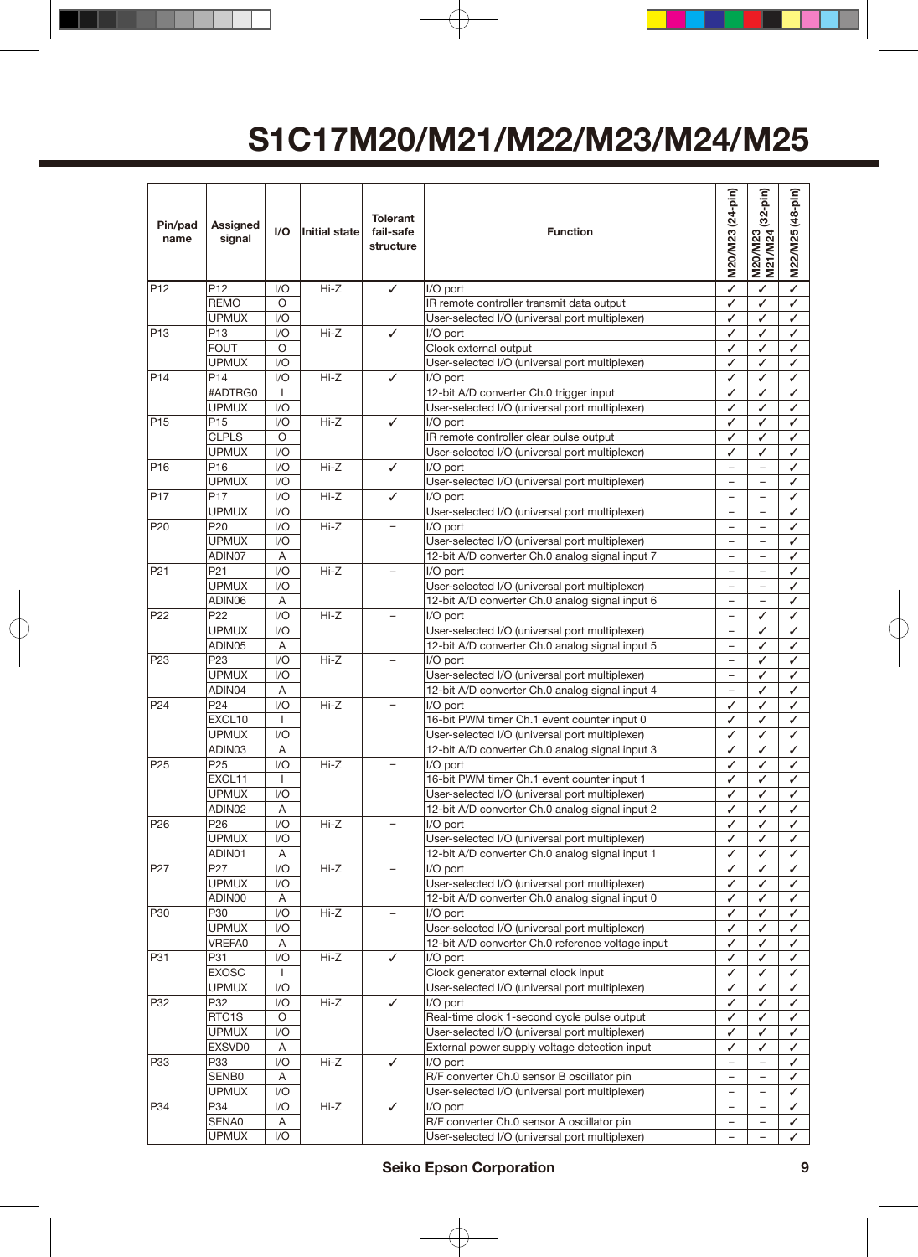| Pin/pad<br>name | Assigned<br>signal     | I/O                                                      | <b>Initial state</b> | <b>Tolerant</b><br>fail-safe<br>structure | <b>Function</b>                                             | M20/M23 (24-pin)                                     | $(32-pin)$<br>M20/M23    | M22/M25 (48-pin) |
|-----------------|------------------------|----------------------------------------------------------|----------------------|-------------------------------------------|-------------------------------------------------------------|------------------------------------------------------|--------------------------|------------------|
| P <sub>12</sub> | P <sub>12</sub>        | I/O                                                      | Hi-Z                 | ✓                                         | I/O port                                                    | ✓                                                    | ✓                        | ✓                |
|                 | <b>REMO</b>            | O                                                        |                      |                                           | IR remote controller transmit data output                   | ✓                                                    | ✓                        | ✓                |
|                 | <b>UPMUX</b>           | 1/O                                                      |                      |                                           | User-selected I/O (universal port multiplexer)              | ✓                                                    | ✓                        | ✓                |
| P <sub>13</sub> | P <sub>13</sub>        | I/O                                                      | Hi-Z                 | ✓                                         | I/O port                                                    | ✓                                                    | ✓                        | ✓                |
|                 | <b>FOUT</b>            | O                                                        |                      |                                           | Clock external output                                       | ✓                                                    | ✓                        | ✓                |
|                 | <b>UPMUX</b>           | I/O                                                      |                      |                                           | User-selected I/O (universal port multiplexer)              | ✓                                                    | ✓                        | ✓                |
| P <sub>14</sub> | P14                    | 1/O                                                      | $Hi-Z$               | ✓                                         | I/O port                                                    | ✓                                                    | ✓                        | ✓                |
|                 | #ADTRG0                | $\mathbf{I}$                                             |                      |                                           | 12-bit A/D converter Ch.0 trigger input                     | ✓                                                    | ✓                        | ✓                |
|                 | <b>UPMUX</b>           | I/O                                                      |                      |                                           | User-selected I/O (universal port multiplexer)              | ✓                                                    | ✓                        | ✓                |
| P <sub>15</sub> | P <sub>15</sub>        | I/O                                                      | $Hi-Z$               | ✓                                         | I/O port                                                    | ✓                                                    | ✓                        | ✓                |
|                 | <b>CLPLS</b>           | O                                                        |                      |                                           | IR remote controller clear pulse output                     | ✓                                                    | ✓                        | ✓                |
|                 | <b>UPMUX</b>           | 1/O                                                      |                      |                                           | User-selected I/O (universal port multiplexer)              | ✓                                                    | ✓                        | ✓                |
| P16             | P16                    | I/O                                                      | $Hi-Z$               | ✓                                         | I/O port                                                    |                                                      |                          | ✓                |
|                 | <b>UPMUX</b>           | I/O                                                      |                      |                                           | User-selected I/O (universal port multiplexer)              | $\overline{\phantom{0}}$                             | $\equiv$                 | ✓                |
| P <sub>17</sub> | P <sub>17</sub>        | 1/O                                                      | $Hi-Z$               | ✓                                         | I/O port                                                    | $\overline{\phantom{0}}$                             | $\overline{\phantom{0}}$ | ✓                |
|                 | <b>UPMUX</b>           | 1/O                                                      |                      |                                           | User-selected I/O (universal port multiplexer)              | -                                                    |                          | ✓                |
| P20             | P20                    | I/O                                                      | Hi-Z                 | $\overline{\phantom{a}}$                  | I/O port                                                    | $\overline{\phantom{0}}$                             | $\overline{\phantom{0}}$ | ✓                |
|                 | <b>UPMUX</b>           | 1/O                                                      |                      |                                           | User-selected I/O (universal port multiplexer)              | $\overline{\phantom{0}}$                             |                          | ✓                |
|                 | ADIN07                 | A                                                        |                      |                                           | 12-bit A/D converter Ch.0 analog signal input 7             | $\overline{\phantom{0}}$                             | $\equiv$                 | ✓                |
| P <sub>21</sub> | P <sub>21</sub>        | I/O                                                      | $Hi-Z$               | $\equiv$                                  | I/O port                                                    | $\overline{\phantom{0}}$                             | $\overline{\phantom{0}}$ | ✓                |
|                 | <b>UPMUX</b>           | I/O                                                      |                      |                                           | User-selected I/O (universal port multiplexer)              | -                                                    | -                        | ✓                |
|                 | ADIN06                 | A                                                        |                      |                                           | 12-bit A/D converter Ch.0 analog signal input 6             | $\overline{\phantom{0}}$                             | ÷,                       | ✓                |
| P <sub>22</sub> | P <sub>22</sub>        | I/O                                                      | $Hi-Z$               |                                           | I/O port                                                    | $\overline{\phantom{0}}$                             | ✓                        | ✓                |
|                 | <b>UPMUX</b>           | 1/O                                                      |                      |                                           | User-selected I/O (universal port multiplexer)              | $\overline{\phantom{0}}$                             | ✓                        | ✓                |
|                 | ADIN05                 | A                                                        |                      |                                           | 12-bit A/D converter Ch.0 analog signal input 5             | $\qquad \qquad -$                                    | ✓                        | ✓                |
| P <sub>23</sub> | P23                    | I/O                                                      | $Hi-Z$               |                                           | I/O port                                                    | $\overline{\phantom{0}}$                             | ✓                        | ✓                |
|                 | <b>UPMUX</b><br>ADIN04 | I/O<br>A                                                 |                      |                                           | User-selected I/O (universal port multiplexer)              | $\overline{\phantom{0}}$<br>$\overline{\phantom{0}}$ | ✓                        | ✓                |
| P <sub>24</sub> | P24                    | I/O                                                      | Hi-Z                 |                                           | 12-bit A/D converter Ch.0 analog signal input 4<br>I/O port | ✓                                                    | ✓<br>✓                   | ✓                |
|                 | EXCL10                 | $\mathbf{I}$                                             |                      |                                           | 16-bit PWM timer Ch.1 event counter input 0                 | ✓                                                    | ✓                        | ✓<br>✓           |
|                 | <b>UPMUX</b>           | I/O                                                      |                      |                                           | User-selected I/O (universal port multiplexer)              | ✓                                                    | ✓                        | ✓                |
|                 | ADIN03                 | Α                                                        |                      |                                           | 12-bit A/D converter Ch.0 analog signal input 3             | ✓                                                    | ✓                        | ✓                |
| P <sub>25</sub> | P <sub>25</sub>        | 1/O                                                      | $Hi-Z$               |                                           | I/O port                                                    | ✓                                                    | ✓                        | ✓                |
|                 | EXCL11                 | $\mathbf{I}$                                             |                      |                                           | 16-bit PWM timer Ch.1 event counter input 1                 | ✓                                                    | ✓                        | ✓                |
|                 | <b>UPMUX</b>           | $\sqrt{O}$                                               |                      |                                           | User-selected I/O (universal port multiplexer)              | ✓                                                    | ✓                        | ∕                |
|                 | ADIN02                 | Α                                                        |                      |                                           | 12-bit A/D converter Ch.0 analog signal input 2             | ✓                                                    | ✓                        | ✓                |
| P <sub>26</sub> | P <sub>26</sub>        | I/O                                                      | Hi-Z                 |                                           | I/O port                                                    | ✓                                                    | ✓                        | ✓                |
|                 | <b>UPMUX</b>           | 1/O                                                      |                      |                                           | User-selected I/O (universal port multiplexer)              | $\checkmark$                                         | ✓                        | ✓                |
|                 | ADIN01                 | A                                                        |                      |                                           | 12-bit A/D converter Ch.0 analog signal input 1             | ✓                                                    | ✓                        | ✓                |
| P <sub>27</sub> | P <sub>27</sub>        | $\ensuremath{\mathsf{I}}\xspace/\ensuremath{\mathsf{O}}$ | Hi-Z                 | $\overline{\phantom{0}}$                  | I/O port                                                    | $\checkmark$                                         | ✓                        | ✓                |
|                 | <b>UPMUX</b>           | 1/O                                                      |                      |                                           | User-selected I/O (universal port multiplexer)              | ✓                                                    | ✓                        | ✓                |
|                 | ADIN00                 | Α                                                        |                      |                                           | 12-bit A/D converter Ch.0 analog signal input 0             | ✓                                                    | ✓                        | ✓                |
| P30             | P30                    | $\mathsf{I}/\mathsf{O}$                                  | Hi-Z                 |                                           | I/O port                                                    | $\checkmark$                                         | ✓                        | ✓                |
|                 | <b>UPMUX</b>           | I/O                                                      |                      |                                           | User-selected I/O (universal port multiplexer)              | ✓                                                    | ✓                        | ✓                |
|                 | VREFA0                 | Α                                                        |                      |                                           | 12-bit A/D converter Ch.0 reference voltage input           | ✓                                                    | ✓                        | ✓                |
| P31             | P31                    | I/O                                                      | Hi-Z                 | $\checkmark$                              | I/O port                                                    | $\checkmark$                                         | ✓                        | ✓                |
|                 | <b>EXOSC</b>           | L                                                        |                      |                                           | Clock generator external clock input                        | ✓                                                    | ✓                        | ✓                |
|                 | <b>UPMUX</b>           | I/O                                                      |                      |                                           | User-selected I/O (universal port multiplexer)              | ✓                                                    | ✓                        | ✓                |
| P32             | P32                    | I/O                                                      | Hi-Z                 | $\checkmark$                              | I/O port                                                    | $\checkmark$                                         | ✓                        | ✓                |
|                 | RTC1S                  | O                                                        |                      |                                           | Real-time clock 1-second cycle pulse output                 | $\checkmark$                                         | ✓                        | ✓                |
|                 | <b>UPMUX</b>           | I/O                                                      |                      |                                           | User-selected I/O (universal port multiplexer)              | $\checkmark$                                         | ✓                        | ✓                |
|                 | EXSVD0                 | Α                                                        |                      |                                           | External power supply voltage detection input               | $\checkmark$                                         | ✓                        | ✓                |
| P33             | P33                    | I/O                                                      | Hi-Z                 | ✓                                         | I/O port                                                    | $\overline{\phantom{0}}$                             | -                        | ✓                |
|                 | SENB0                  | Α                                                        |                      |                                           | R/F converter Ch.0 sensor B oscillator pin                  | $\overline{\phantom{0}}$                             |                          | ✓                |
|                 | <b>UPMUX</b>           | 1/O                                                      |                      |                                           | User-selected I/O (universal port multiplexer)              | $\overline{\phantom{0}}$                             |                          | ✓                |
| P34             | P34                    | I/O                                                      | Hi-Z                 | ✓                                         | I/O port                                                    | -                                                    | -                        | $\checkmark$     |
|                 | SENA0                  | A                                                        |                      |                                           | R/F converter Ch.0 sensor A oscillator pin                  | -                                                    | $\overline{\phantom{0}}$ | ✓                |
|                 | <b>UPMUX</b>           | I/O                                                      |                      |                                           | User-selected I/O (universal port multiplexer)              | $\qquad \qquad -$                                    | $\overline{\phantom{0}}$ | ✓                |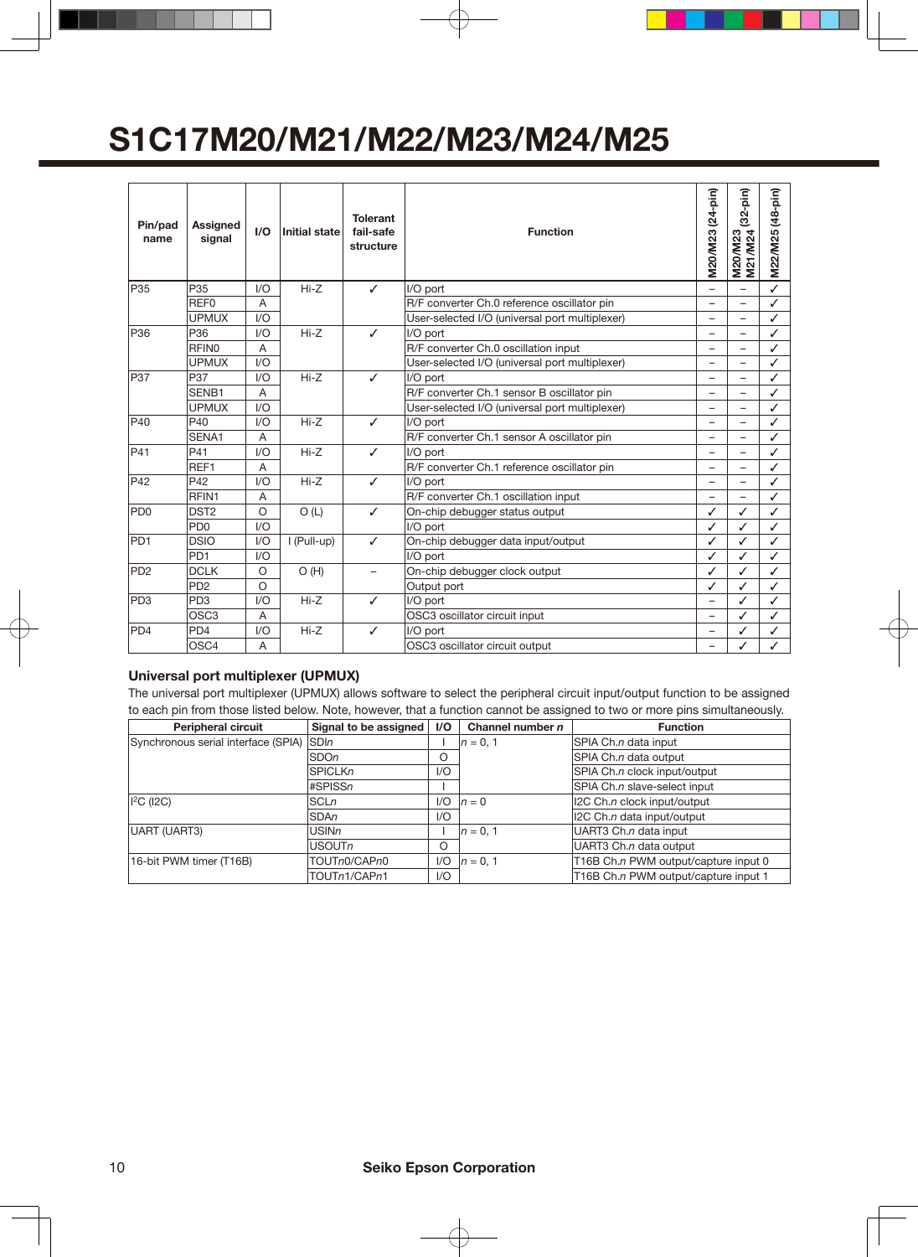| Pin/pad<br>name | Assigned<br>signal          | 1/O     | Initial state | <b>Tolerant</b><br>fail-safe<br>structure | <b>Function</b>                                | M20/M23 (24-pin)         | $(32-pin)$<br>M21/M24<br>M20/M23 | $(48-pin)$<br>M22/M25 |
|-----------------|-----------------------------|---------|---------------|-------------------------------------------|------------------------------------------------|--------------------------|----------------------------------|-----------------------|
| P <sub>35</sub> | P <sub>35</sub>             | 1/O     | $Hi-Z$        | $\checkmark$                              | I/O port                                       | $\overline{\phantom{0}}$ | $\equiv$                         | ✓                     |
|                 | REF <sub>0</sub>            | A       |               |                                           | R/F converter Ch.0 reference oscillator pin    | $\overline{\phantom{0}}$ | $\overline{\phantom{0}}$         | ✓                     |
|                 | <b>UPMUX</b>                | 1/O     |               |                                           | User-selected I/O (universal port multiplexer) |                          |                                  | ✓                     |
| P <sub>36</sub> | P36                         | 1/O     | $Hi-Z$        | ✓                                         | I/O port                                       | $\overline{\phantom{0}}$ | -                                | ✓                     |
|                 | <b>RFINO</b>                | A       |               |                                           | R/F converter Ch.0 oscillation input           | $\overline{\phantom{0}}$ | $\overline{\phantom{0}}$         | ✓                     |
|                 | <b>UPMUX</b>                | 1/O     |               |                                           | User-selected I/O (universal port multiplexer) | -                        | -                                | ✓                     |
| P37             | P37                         | 1/O     | $Hi-Z$        | $\checkmark$                              | I/O port                                       | -                        | $\overline{\phantom{0}}$         | ✓                     |
|                 | SENB1                       | A       |               |                                           | R/F converter Ch.1 sensor B oscillator pin     | -                        | $\overline{\phantom{0}}$         | ✓                     |
|                 | <b>UPMUX</b>                | 1/O     |               |                                           | User-selected I/O (universal port multiplexer) | -                        | $\overline{\phantom{0}}$         | ✓                     |
| P40             | P40                         | 1/O     | $Hi-Z$        | $\checkmark$                              | I/O port                                       | -                        | -                                | ✓                     |
|                 | SENA1                       | A       |               |                                           | R/F converter Ch.1 sensor A oscillator pin     |                          |                                  | ✓                     |
| P41             | P41                         | 1/O     | $Hi-Z$        | ✓                                         | I/O port                                       |                          | $\equiv$                         | ✓                     |
|                 | REF1                        | A       |               |                                           | R/F converter Ch.1 reference oscillator pin    | $\overline{\phantom{0}}$ | ۳                                | ✓                     |
| P42             | P42                         | 1/O     | $Hi-Z$        | ✓                                         | I/O port                                       |                          |                                  | ✓                     |
|                 | RFIN1                       | A       |               |                                           | R/F converter Ch.1 oscillation input           | $\overline{\phantom{0}}$ |                                  | ✓                     |
| PD <sub>0</sub> | DST <sub>2</sub>            | $\circ$ | O(L)          | ✓                                         | On-chip debugger status output                 | ✓                        | ✓                                | ✓                     |
|                 | P <sub>D</sub> <sub>0</sub> | 1/O     |               |                                           | I/O port                                       | ✓                        | ✓                                | ✓                     |
| PD <sub>1</sub> | <b>DSIO</b>                 | 1/O     | I (Pull-up)   | ✓                                         | On-chip debugger data input/output             | ✓                        | ✓                                | ✓                     |
|                 | PD <sub>1</sub>             | 1/O     |               |                                           | I/O port                                       | ✓                        | ✓                                | ✓                     |
| P <sub>D2</sub> | <b>DCLK</b>                 | $\circ$ | O(H)          |                                           | On-chip debugger clock output                  | ✓                        | ✓                                | ✓                     |
|                 | P <sub>D</sub> <sub>2</sub> | $\circ$ |               |                                           | Output port                                    | ✓                        | ✓                                | ✓                     |
| PD <sub>3</sub> | PD <sub>3</sub>             | 1/O     | $Hi-Z$        | ✓                                         | I/O port                                       | $\overline{\phantom{0}}$ | ✓                                | ✓                     |
|                 | OSC <sub>3</sub>            | A       |               |                                           | OSC3 oscillator circuit input                  | $\overline{a}$           | ✓                                | ✓                     |
| PD <sub>4</sub> | PD <sub>4</sub>             | 1/O     | $Hi-Z$        | ✓                                         | I/O port                                       | -                        | ✓                                | ✓                     |
|                 | OSC4                        | A       |               |                                           | OSC3 oscillator circuit output                 | -                        | ✓                                | ✓                     |

### **Universal port multiplexer (UPMUX)**

The universal port multiplexer (UPMUX) allows software to select the peripheral circuit input/output function to be assigned to each pin from those listed below. Note, however, that a function cannot be assigned to two or more pins simultaneously.

| <b>Peripheral circuit</b>           | Signal to be assigned | $\mathsf{I}/\mathsf{O}$ | Channel number $n$ | <b>Function</b>                      |
|-------------------------------------|-----------------------|-------------------------|--------------------|--------------------------------------|
| Synchronous serial interface (SPIA) | <b>SDIn</b>           |                         | $n = 0, 1$         | SPIA Ch.n data input                 |
|                                     | <b>SDOn</b>           | O                       |                    | SPIA Ch.n data output                |
|                                     | <b>SPICLKn</b>        | 1/O                     |                    | SPIA Ch.n clock input/output         |
|                                     | #SPISSn               |                         |                    | SPIA Ch.n slave-select input         |
| $ $ <sup>2</sup> C ( $ $ 2C)        | SCLn                  | 1/O                     | $n=0$              | I2C Ch.n clock input/output          |
|                                     | <b>SDAn</b>           | 1/O                     |                    | I2C Ch.n data input/output           |
| UART (UART3)                        | <b>USINn</b>          |                         | $n = 0.1$          | UART3 Ch.n data input                |
|                                     | <b>USOUTn</b>         | O                       |                    | UART3 Ch.n data output               |
| 16-bit PWM timer (T16B)             | TOUTn0/CAPn0          | 1/O                     | $n = 0.1$          | T16B Ch.n PWM output/capture input 0 |
|                                     | TOUTn1/CAPn1          | 1/O                     |                    | T16B Ch.n PWM output/capture input 1 |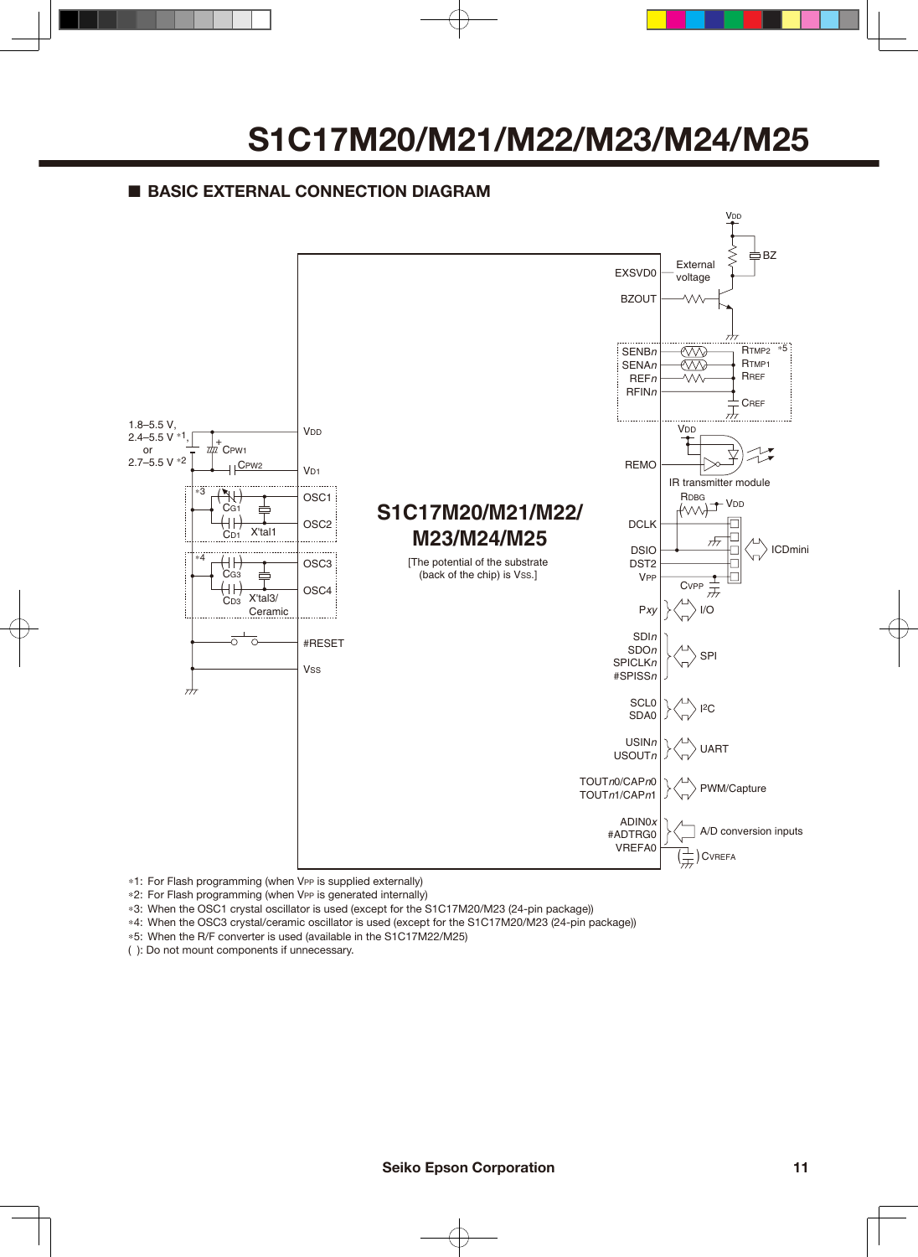### ■ **BASIC EXTERNAL CONNECTION DIAGRAM**



\*1: For Flash programming (when VPP is supplied externally)

\*2: For Flash programming (when VPP is generated internally)

\*3: When the OSC1 crystal oscillator is used (except for the S1C17M20/M23 (24-pin package))

\*4: When the OSC3 crystal/ceramic oscillator is used (except for the S1C17M20/M23 (24-pin package))

\*5: When the R/F converter is used (available in the S1C17M22/M25)

( ): Do not mount components if unnecessary.